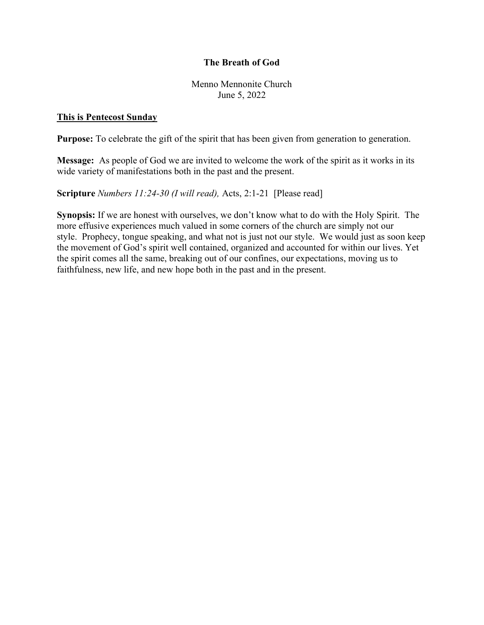## The Breath of God

Menno Mennonite Church June 5, 2022

## This is Pentecost Sunday

Purpose: To celebrate the gift of the spirit that has been given from generation to generation.

Message: As people of God we are invited to welcome the work of the spirit as it works in its wide variety of manifestations both in the past and the present.

Scripture Numbers 11:24-30 (I will read), Acts, 2:1-21 [Please read]

Synopsis: If we are honest with ourselves, we don't know what to do with the Holy Spirit. The more effusive experiences much valued in some corners of the church are simply not our style. Prophecy, tongue speaking, and what not is just not our style. We would just as soon keep the movement of God's spirit well contained, organized and accounted for within our lives. Yet the spirit comes all the same, breaking out of our confines, our expectations, moving us to faithfulness, new life, and new hope both in the past and in the present.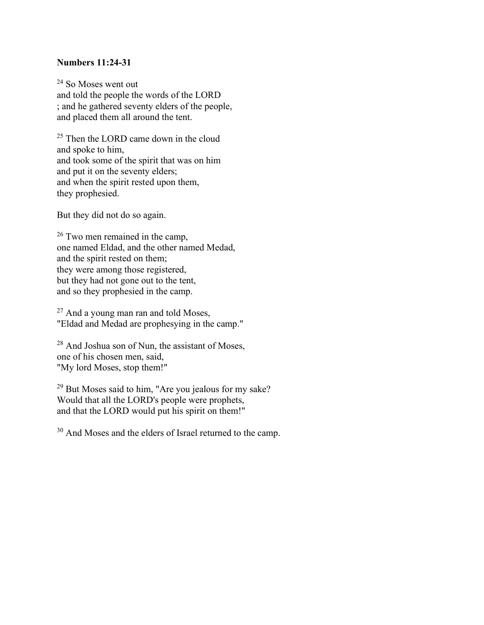## Numbers 11:24-31

<sup>24</sup> So Moses went out and told the people the words of the LORD ; and he gathered seventy elders of the people, and placed them all around the tent.

<sup>25</sup> Then the LORD came down in the cloud and spoke to him, and took some of the spirit that was on him and put it on the seventy elders; and when the spirit rested upon them, they prophesied.

But they did not do so again.

<sup>26</sup> Two men remained in the camp, one named Eldad, and the other named Medad, and the spirit rested on them; they were among those registered, but they had not gone out to the tent, and so they prophesied in the camp.

<sup>27</sup> And a young man ran and told Moses, "Eldad and Medad are prophesying in the camp."

 $28$  And Joshua son of Nun, the assistant of Moses, one of his chosen men, said, "My lord Moses, stop them!"

<sup>29</sup> But Moses said to him, "Are you jealous for my sake? Would that all the LORD's people were prophets, and that the LORD would put his spirit on them!"

<sup>30</sup> And Moses and the elders of Israel returned to the camp.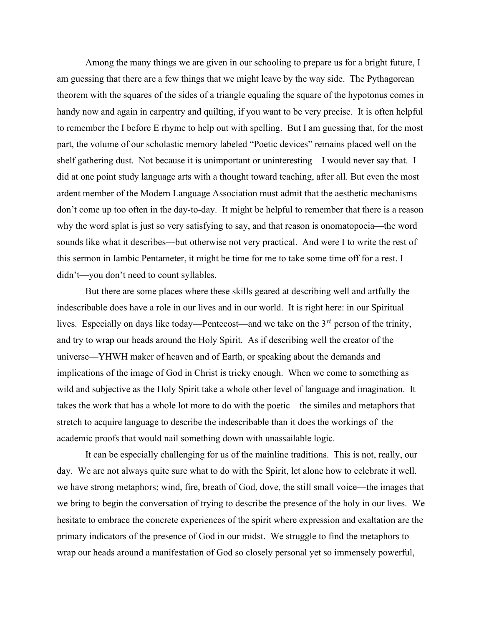Among the many things we are given in our schooling to prepare us for a bright future, I am guessing that there are a few things that we might leave by the way side. The Pythagorean theorem with the squares of the sides of a triangle equaling the square of the hypotonus comes in handy now and again in carpentry and quilting, if you want to be very precise. It is often helpful to remember the I before E rhyme to help out with spelling. But I am guessing that, for the most part, the volume of our scholastic memory labeled "Poetic devices" remains placed well on the shelf gathering dust. Not because it is unimportant or uninteresting—I would never say that. I did at one point study language arts with a thought toward teaching, after all. But even the most ardent member of the Modern Language Association must admit that the aesthetic mechanisms don't come up too often in the day-to-day. It might be helpful to remember that there is a reason why the word splat is just so very satisfying to say, and that reason is onomatopoeia—the word sounds like what it describes—but otherwise not very practical. And were I to write the rest of this sermon in Iambic Pentameter, it might be time for me to take some time off for a rest. I didn't—you don't need to count syllables.

 But there are some places where these skills geared at describing well and artfully the indescribable does have a role in our lives and in our world. It is right here: in our Spiritual lives. Especially on days like today—Pentecost—and we take on the  $3<sup>rd</sup>$  person of the trinity, and try to wrap our heads around the Holy Spirit. As if describing well the creator of the universe—YHWH maker of heaven and of Earth, or speaking about the demands and implications of the image of God in Christ is tricky enough. When we come to something as wild and subjective as the Holy Spirit take a whole other level of language and imagination. It takes the work that has a whole lot more to do with the poetic—the similes and metaphors that stretch to acquire language to describe the indescribable than it does the workings of the academic proofs that would nail something down with unassailable logic.

 It can be especially challenging for us of the mainline traditions. This is not, really, our day. We are not always quite sure what to do with the Spirit, let alone how to celebrate it well. we have strong metaphors; wind, fire, breath of God, dove, the still small voice—the images that we bring to begin the conversation of trying to describe the presence of the holy in our lives. We hesitate to embrace the concrete experiences of the spirit where expression and exaltation are the primary indicators of the presence of God in our midst. We struggle to find the metaphors to wrap our heads around a manifestation of God so closely personal yet so immensely powerful,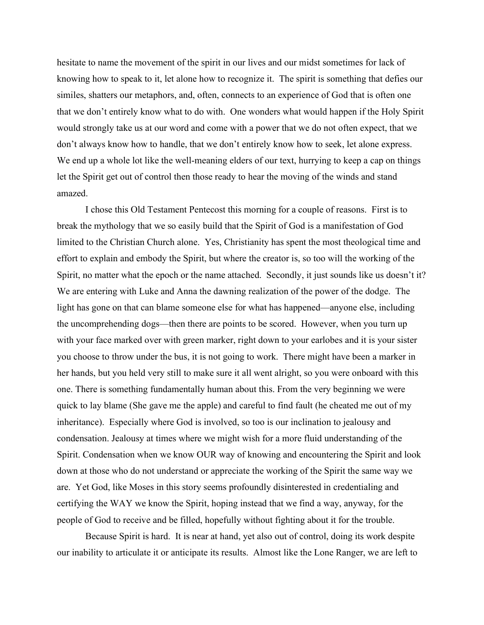hesitate to name the movement of the spirit in our lives and our midst sometimes for lack of knowing how to speak to it, let alone how to recognize it. The spirit is something that defies our similes, shatters our metaphors, and, often, connects to an experience of God that is often one that we don't entirely know what to do with. One wonders what would happen if the Holy Spirit would strongly take us at our word and come with a power that we do not often expect, that we don't always know how to handle, that we don't entirely know how to seek, let alone express. We end up a whole lot like the well-meaning elders of our text, hurrying to keep a cap on things let the Spirit get out of control then those ready to hear the moving of the winds and stand amazed.

 I chose this Old Testament Pentecost this morning for a couple of reasons. First is to break the mythology that we so easily build that the Spirit of God is a manifestation of God limited to the Christian Church alone. Yes, Christianity has spent the most theological time and effort to explain and embody the Spirit, but where the creator is, so too will the working of the Spirit, no matter what the epoch or the name attached. Secondly, it just sounds like us doesn't it? We are entering with Luke and Anna the dawning realization of the power of the dodge. The light has gone on that can blame someone else for what has happened—anyone else, including the uncomprehending dogs—then there are points to be scored. However, when you turn up with your face marked over with green marker, right down to your earlobes and it is your sister you choose to throw under the bus, it is not going to work. There might have been a marker in her hands, but you held very still to make sure it all went alright, so you were onboard with this one. There is something fundamentally human about this. From the very beginning we were quick to lay blame (She gave me the apple) and careful to find fault (he cheated me out of my inheritance). Especially where God is involved, so too is our inclination to jealousy and condensation. Jealousy at times where we might wish for a more fluid understanding of the Spirit. Condensation when we know OUR way of knowing and encountering the Spirit and look down at those who do not understand or appreciate the working of the Spirit the same way we are. Yet God, like Moses in this story seems profoundly disinterested in credentialing and certifying the WAY we know the Spirit, hoping instead that we find a way, anyway, for the people of God to receive and be filled, hopefully without fighting about it for the trouble.

 Because Spirit is hard. It is near at hand, yet also out of control, doing its work despite our inability to articulate it or anticipate its results. Almost like the Lone Ranger, we are left to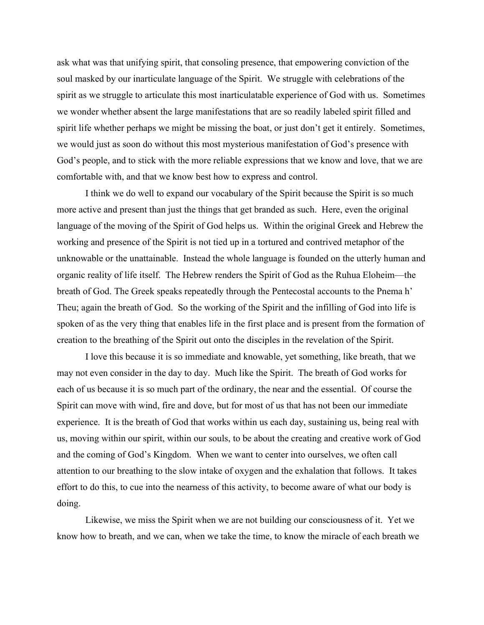ask what was that unifying spirit, that consoling presence, that empowering conviction of the soul masked by our inarticulate language of the Spirit. We struggle with celebrations of the spirit as we struggle to articulate this most inarticulatable experience of God with us. Sometimes we wonder whether absent the large manifestations that are so readily labeled spirit filled and spirit life whether perhaps we might be missing the boat, or just don't get it entirely. Sometimes, we would just as soon do without this most mysterious manifestation of God's presence with God's people, and to stick with the more reliable expressions that we know and love, that we are comfortable with, and that we know best how to express and control.

 I think we do well to expand our vocabulary of the Spirit because the Spirit is so much more active and present than just the things that get branded as such. Here, even the original language of the moving of the Spirit of God helps us. Within the original Greek and Hebrew the working and presence of the Spirit is not tied up in a tortured and contrived metaphor of the unknowable or the unattainable. Instead the whole language is founded on the utterly human and organic reality of life itself. The Hebrew renders the Spirit of God as the Ruhua Eloheim—the breath of God. The Greek speaks repeatedly through the Pentecostal accounts to the Pnema h' Theu; again the breath of God. So the working of the Spirit and the infilling of God into life is spoken of as the very thing that enables life in the first place and is present from the formation of creation to the breathing of the Spirit out onto the disciples in the revelation of the Spirit.

 I love this because it is so immediate and knowable, yet something, like breath, that we may not even consider in the day to day. Much like the Spirit. The breath of God works for each of us because it is so much part of the ordinary, the near and the essential. Of course the Spirit can move with wind, fire and dove, but for most of us that has not been our immediate experience. It is the breath of God that works within us each day, sustaining us, being real with us, moving within our spirit, within our souls, to be about the creating and creative work of God and the coming of God's Kingdom. When we want to center into ourselves, we often call attention to our breathing to the slow intake of oxygen and the exhalation that follows. It takes effort to do this, to cue into the nearness of this activity, to become aware of what our body is doing.

Likewise, we miss the Spirit when we are not building our consciousness of it. Yet we know how to breath, and we can, when we take the time, to know the miracle of each breath we